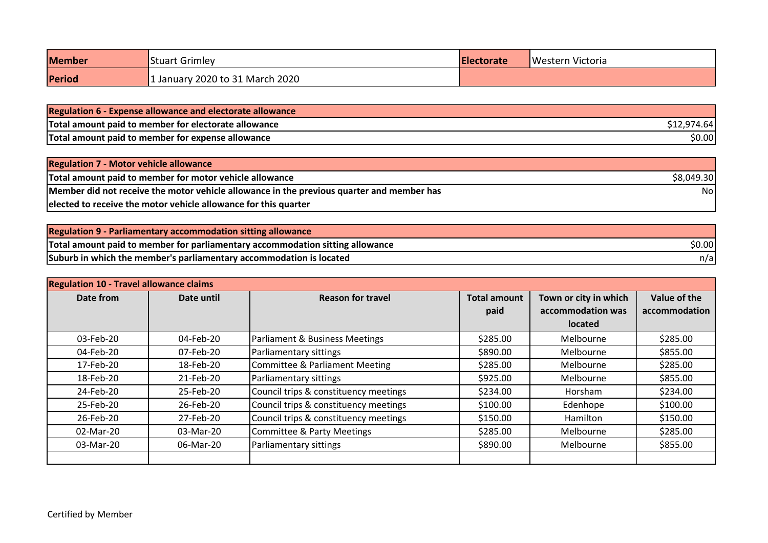| <b>Member</b> | <b>Stuart Grimley</b>           | <b>IElectorate</b> | <b>Western Victoria</b> |
|---------------|---------------------------------|--------------------|-------------------------|
| Period        | 1 January 2020 to 31 March 2020 |                    |                         |

| <b>Regulation 6 - Expense allowance and electorate allowance</b> |        |
|------------------------------------------------------------------|--------|
| Total amount paid to member for electorate allowance             |        |
| Total amount paid to member for expense allowance                | \$0.00 |

| <b>Regulation 7 - Motor vehicle allowance</b>                                             |            |
|-------------------------------------------------------------------------------------------|------------|
| Total amount paid to member for motor vehicle allowance                                   | \$8,049.30 |
| Member did not receive the motor vehicle allowance in the previous quarter and member has | Nol        |
| elected to receive the motor vehicle allowance for this quarter                           |            |

| Regulation 9 - Parliamentary accommodation sitting allowance                  |        |
|-------------------------------------------------------------------------------|--------|
| Total amount paid to member for parliamentary accommodation sitting allowance | \$0.00 |
| Suburb in which the member's parliamentary accommodation is located           | n/al   |

| <b>Regulation 10 - Travel allowance claims</b> |            |                                           |                     |                       |               |
|------------------------------------------------|------------|-------------------------------------------|---------------------|-----------------------|---------------|
| Date from                                      | Date until | <b>Reason for travel</b>                  | <b>Total amount</b> | Town or city in which | Value of the  |
|                                                |            |                                           | paid                | accommodation was     | accommodation |
|                                                |            |                                           |                     | <b>located</b>        |               |
| 03-Feb-20                                      | 04-Feb-20  | Parliament & Business Meetings            | \$285.00            | Melbourne             | \$285.00      |
| 04-Feb-20                                      | 07-Feb-20  | Parliamentary sittings                    | \$890.00            | Melbourne             | \$855.00      |
| 17-Feb-20                                      | 18-Feb-20  | <b>Committee &amp; Parliament Meeting</b> | \$285.00            | Melbourne             | \$285.00      |
| 18-Feb-20                                      | 21-Feb-20  | Parliamentary sittings                    | \$925.00            | Melbourne             | \$855.00      |
| 24-Feb-20                                      | 25-Feb-20  | Council trips & constituency meetings     | \$234.00            | Horsham               | \$234.00      |
| 25-Feb-20                                      | 26-Feb-20  | Council trips & constituency meetings     | \$100.00            | Edenhope              | \$100.00      |
| 26-Feb-20                                      | 27-Feb-20  | Council trips & constituency meetings     | \$150.00            | Hamilton              | \$150.00      |
| 02-Mar-20                                      | 03-Mar-20  | <b>Committee &amp; Party Meetings</b>     | \$285.00            | Melbourne             | \$285.00      |
| 03-Mar-20                                      | 06-Mar-20  | Parliamentary sittings                    | \$890.00            | Melbourne             | \$855.00      |
|                                                |            |                                           |                     |                       |               |